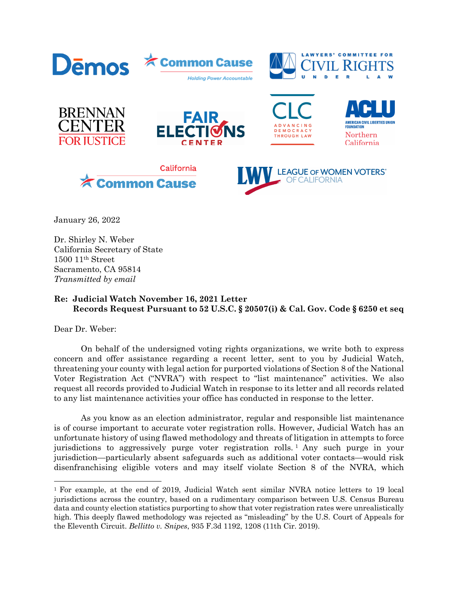

January 26, 2022

Dr. Shirley N. Weber California Secretary of State 1500 11th Street Sacramento, CA 95814 *Transmitted by email* 

## **Re: Judicial Watch November 16, 2021 Letter Records Request Pursuant to 52 U.S.C. § 20507(i) & Cal. Gov. Code § 6250 et seq**

Dear Dr. Weber:

On behalf of the undersigned voting rights organizations, we write both to express concern and offer assistance regarding a recent letter, sent to you by Judicial Watch, threatening your county with legal action for purported violations of Section 8 of the National Voter Registration Act ("NVRA") with respect to "list maintenance" activities. We also request all records provided to Judicial Watch in response to its letter and all records related to any list maintenance activities your office has conducted in response to the letter.

As you know as an election administrator, regular and responsible list maintenance is of course important to accurate voter registration rolls. However, Judicial Watch has an unfortunate history of using flawed methodology and threats of litigation in attempts to force jurisdictions to aggressively purge voter registration rolls. <sup>1</sup> Any such purge in your jurisdiction—particularly absent safeguards such as additional voter contacts—would risk disenfranchising eligible voters and may itself violate Section 8 of the NVRA, which

<sup>1</sup> For example, at the end of 2019, Judicial Watch sent similar NVRA notice letters to 19 local jurisdictions across the country, based on a rudimentary comparison between U.S. Census Bureau data and county election statistics purporting to show that voter registration rates were unrealistically high. This deeply flawed methodology was rejected as "misleading" by the U.S. Court of Appeals for the Eleventh Circuit. *Bellitto v. Snipes*, 935 F.3d 1192, 1208 (11th Cir. 2019).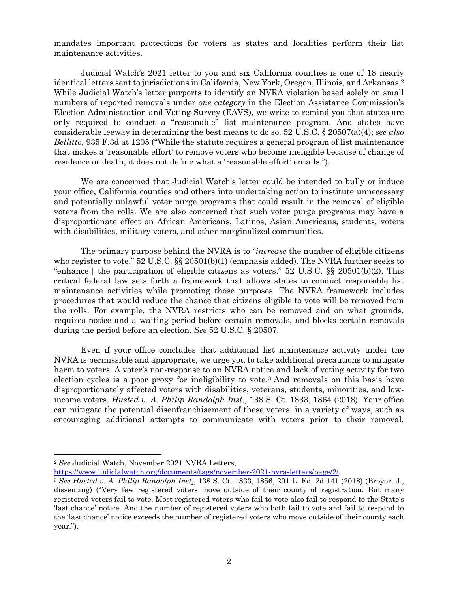mandates important protections for voters as states and localities perform their list maintenance activities.

Judicial Watch's 2021 letter to you and six California counties is one of 18 nearly identical letters sent to jurisdictions in California, New York, Oregon, Illinois, and Arkansas.2 While Judicial Watch's letter purports to identify an NVRA violation based solely on small numbers of reported removals under *one category* in the Election Assistance Commission's Election Administration and Voting Survey (EAVS), we write to remind you that states are only required to conduct a "reasonable" list maintenance program. And states have considerable leeway in determining the best means to do so. 52 U.S.C. § 20507(a)(4); *see also Bellitto*, 935 F.3d at 1205 ("While the statute requires a general program of list maintenance that makes a 'reasonable effort' to remove voters who become ineligible because of change of residence or death, it does not define what a 'reasonable effort' entails.").

We are concerned that Judicial Watch's letter could be intended to bully or induce your office, California counties and others into undertaking action to institute unnecessary and potentially unlawful voter purge programs that could result in the removal of eligible voters from the rolls. We are also concerned that such voter purge programs may have a disproportionate effect on African Americans, Latinos, Asian Americans, students, voters with disabilities, military voters, and other marginalized communities.

The primary purpose behind the NVRA is to "*increase* the number of eligible citizens who register to vote." 52 U.S.C.  $\S$  20501(b)(1) (emphasis added). The NVRA further seeks to "enhance] the participation of eligible citizens as voters." 52 U.S.C.  $\S$  20501(b)(2). This critical federal law sets forth a framework that allows states to conduct responsible list maintenance activities while promoting those purposes. The NVRA framework includes procedures that would reduce the chance that citizens eligible to vote will be removed from the rolls. For example, the NVRA restricts who can be removed and on what grounds, requires notice and a waiting period before certain removals, and blocks certain removals during the period before an election. *See* 52 U.S.C. § 20507.

Even if your office concludes that additional list maintenance activity under the NVRA is permissible and appropriate, we urge you to take additional precautions to mitigate harm to voters. A voter's non-response to an NVRA notice and lack of voting activity for two election cycles is a poor proxy for ineligibility to vote.3 And removals on this basis have disproportionately affected voters with disabilities, veterans, students, minorities, and lowincome voters. *Husted v. A. Philip Randolph Inst*., 138 S. Ct. 1833, 1864 (2018). Your office can mitigate the potential disenfranchisement of these voters in a variety of ways, such as encouraging additional attempts to communicate with voters prior to their removal,

<sup>2</sup> *See* Judicial Watch, November 2021 NVRA Letters,

https://www.judicialwatch.org/documents/tags/november-2021-nvra-letters/page/2/. 3 *See Husted v. A. Philip Randolph Inst*., 138 S. Ct. 1833, 1856, 201 L. Ed. 2d 141 (2018) (Breyer, J., dissenting) ("Very few registered voters move outside of their county of registration. But many registered voters fail to vote. Most registered voters who fail to vote also fail to respond to the State's 'last chance' notice. And the number of registered voters who both fail to vote and fail to respond to the 'last chance' notice exceeds the number of registered voters who move outside of their county each year.").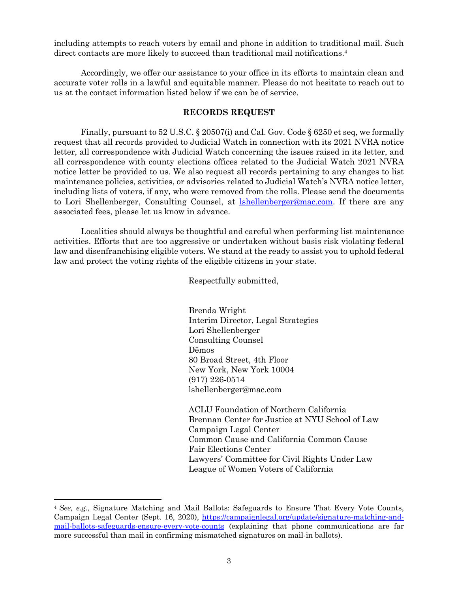including attempts to reach voters by email and phone in addition to traditional mail. Such direct contacts are more likely to succeed than traditional mail notifications.<sup>4</sup>

Accordingly, we offer our assistance to your office in its efforts to maintain clean and accurate voter rolls in a lawful and equitable manner. Please do not hesitate to reach out to us at the contact information listed below if we can be of service.

## **RECORDS REQUEST**

Finally, pursuant to 52 U.S.C. § 20507(i) and Cal. Gov. Code § 6250 et seq, we formally request that all records provided to Judicial Watch in connection with its 2021 NVRA notice letter, all correspondence with Judicial Watch concerning the issues raised in its letter, and all correspondence with county elections offices related to the Judicial Watch 2021 NVRA notice letter be provided to us. We also request all records pertaining to any changes to list maintenance policies, activities, or advisories related to Judicial Watch's NVRA notice letter, including lists of voters, if any, who were removed from the rolls. Please send the documents to Lori Shellenberger, Consulting Counsel, at **Ishellenberger@mac.com**. If there are any associated fees, please let us know in advance.

Localities should always be thoughtful and careful when performing list maintenance activities. Efforts that are too aggressive or undertaken without basis risk violating federal law and disenfranchising eligible voters. We stand at the ready to assist you to uphold federal law and protect the voting rights of the eligible citizens in your state.

Respectfully submitted,

Brenda Wright Interim Director, Legal Strategies Lori Shellenberger Consulting Counsel Dēmos 80 Broad Street, 4th Floor New York, New York 10004 (917) 226-0514 lshellenberger@mac.com

ACLU Foundation of Northern California Brennan Center for Justice at NYU School of Law Campaign Legal Center Common Cause and California Common Cause Fair Elections Center Lawyers' Committee for Civil Rights Under Law League of Women Voters of California

<sup>4</sup> *See, e.g.,* Signature Matching and Mail Ballots: Safeguards to Ensure That Every Vote Counts, Campaign Legal Center (Sept. 16, 2020), https://campaignlegal.org/update/signature-matching-andmail-ballots-safeguards-ensure-every-vote-counts (explaining that phone communications are far more successful than mail in confirming mismatched signatures on mail-in ballots).